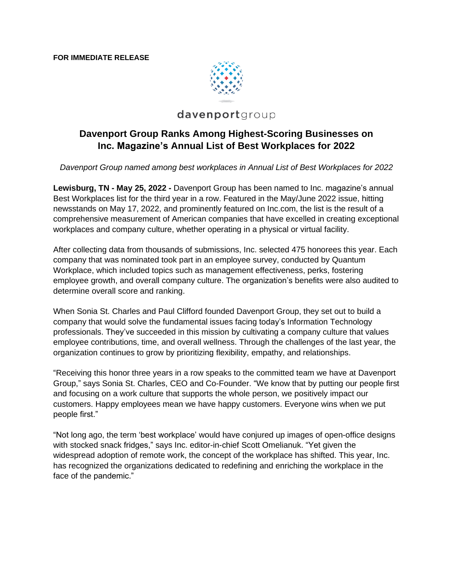

## davenportgroup

# **Davenport Group Ranks Among Highest-Scoring Businesses on Inc. Magazine's Annual List of Best Workplaces for 2022**

*Davenport Group named among best workplaces in Annual List of Best Workplaces for 2022*

**Lewisburg, TN - May 25, 2022 -** Davenport Group has been named to Inc. magazine's annual Best Workplaces list for the third year in a row. Featured in the May/June 2022 issue, hitting newsstands on May 17, 2022, and prominently featured on Inc.com, the list is the result of a comprehensive measurement of American companies that have excelled in creating exceptional workplaces and company culture, whether operating in a physical or virtual facility.

After collecting data from thousands of submissions, Inc. selected 475 honorees this year. Each company that was nominated took part in an employee survey, conducted by Quantum Workplace, which included topics such as management effectiveness, perks, fostering employee growth, and overall company culture. The organization's benefits were also audited to determine overall score and ranking.

When Sonia St. Charles and Paul Clifford founded Davenport Group, they set out to build a company that would solve the fundamental issues facing today's Information Technology professionals. They've succeeded in this mission by cultivating a company culture that values employee contributions, time, and overall wellness. Through the challenges of the last year, the organization continues to grow by prioritizing flexibility, empathy, and relationships.

"Receiving this honor three years in a row speaks to the committed team we have at Davenport Group," says Sonia St. Charles, CEO and Co-Founder. "We know that by putting our people first and focusing on a work culture that supports the whole person, we positively impact our customers. Happy employees mean we have happy customers. Everyone wins when we put people first."

"Not long ago, the term 'best workplace' would have conjured up images of open-office designs with stocked snack fridges," says Inc. editor-in-chief Scott Omelianuk. "Yet given the widespread adoption of remote work, the concept of the workplace has shifted. This year, Inc. has recognized the organizations dedicated to redefining and enriching the workplace in the face of the pandemic."